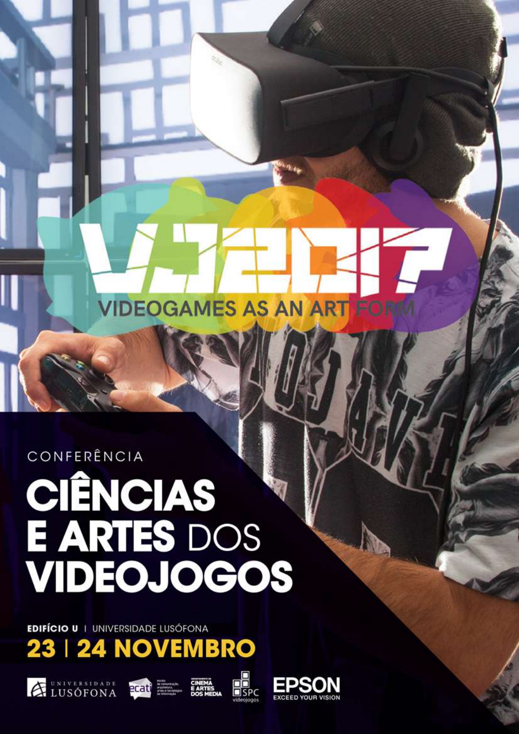CONFERÊNCIA

# **CIÊNCIAS<br>E ARTES DOS<br>VIDEOJOGOS**

**EDIFÍCIO U I UNIVERSIDADE LUSÓFONA** 











**VIDEOGAMES AS AN ART** 

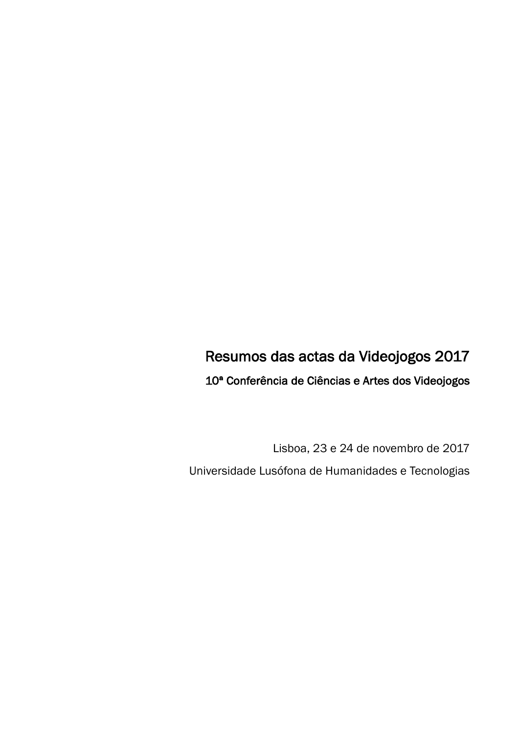# Resumos das actas da Videojogos 2017

10ª Conferência de Ciências e Artes dos Videojogos

Lisboa, 23 e 24 de novembro de 2017 Universidade Lusófona de Humanidades e Tecnologias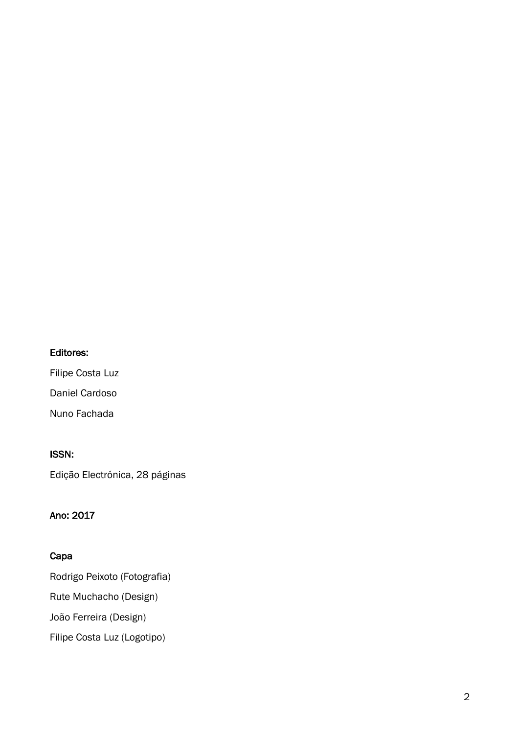# Editores:

Filipe Costa Luz Daniel Cardoso Nuno Fachada

#### ISSN:

Edição Electrónica, 28 páginas

# Ano: 2017

# Capa

Rodrigo Peixoto (Fotografia) Rute Muchacho (Design) João Ferreira (Design) Filipe Costa Luz (Logotipo)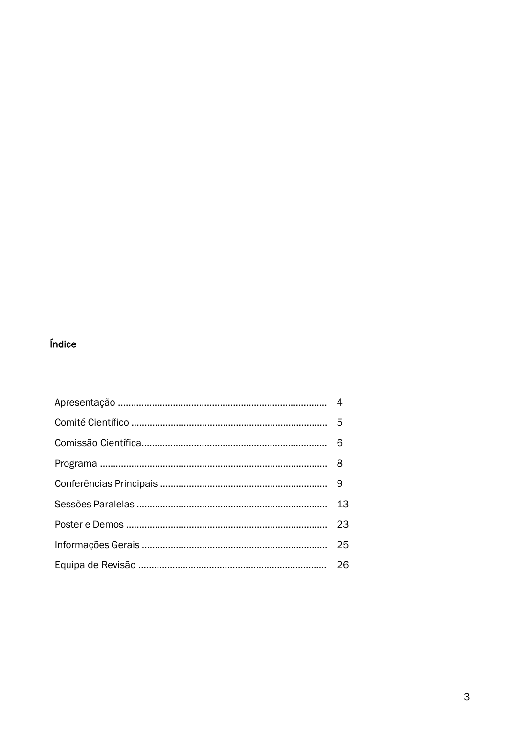# Índice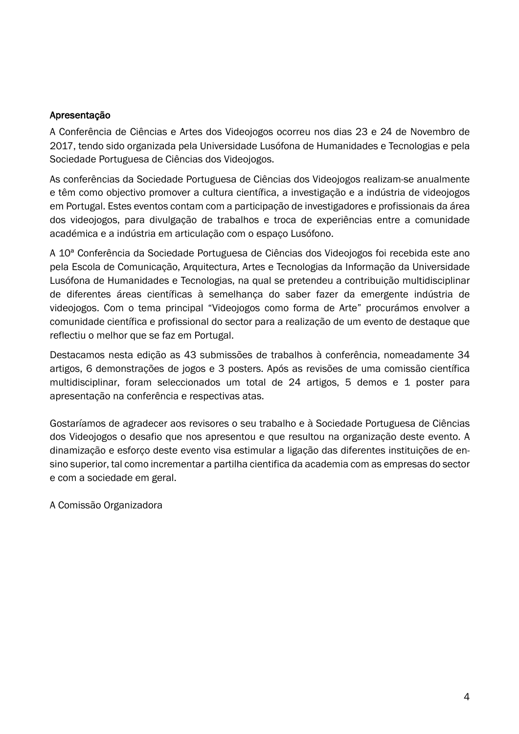## Apresentação

A Conferência de Ciências e Artes dos Videojogos ocorreu nos dias 23 e 24 de Novembro de 2017, tendo sido organizada pela Universidade Lusófona de Humanidades e Tecnologias e pela Sociedade Portuguesa de Ciências dos Videojogos.

As conferências da Sociedade Portuguesa de Ciências dos Videojogos realizam-se anualmente e têm como objectivo promover a cultura científica, a investigação e a indústria de videojogos em Portugal. Estes eventos contam com a participação de investigadores e profissionais da área dos videojogos, para divulgação de trabalhos e troca de experiências entre a comunidade académica e a indústria em articulação com o espaço Lusófono.

A 10ª Conferência da Sociedade Portuguesa de Ciências dos Videojogos foi recebida este ano pela Escola de Comunicação, Arquitectura, Artes e Tecnologias da Informação da Universidade Lusófona de Humanidades e Tecnologias, na qual se pretendeu a contribuição multidisciplinar de diferentes áreas científicas à semelhança do saber fazer da emergente indústria de videojogos. Com o tema principal "Videojogos como forma de Arte" procurámos envolver a comunidade científica e profissional do sector para a realização de um evento de destaque que reflectiu o melhor que se faz em Portugal.

Destacamos nesta edição as 43 submissões de trabalhos à conferência, nomeadamente 34 artigos, 6 demonstrações de jogos e 3 posters. Após as revisões de uma comissão científica multidisciplinar, foram seleccionados um total de 24 artigos, 5 demos e 1 poster para apresentação na conferência e respectivas atas.

Gostaríamos de agradecer aos revisores o seu trabalho e à Sociedade Portuguesa de Ciências dos Videojogos o desafio que nos apresentou e que resultou na organização deste evento. A dinamização e esforço deste evento visa estimular a ligação das diferentes instituições de ensino superior, tal como incrementar a partilha cientifica da academia com as empresas do sector e com a sociedade em geral.

A Comissão Organizadora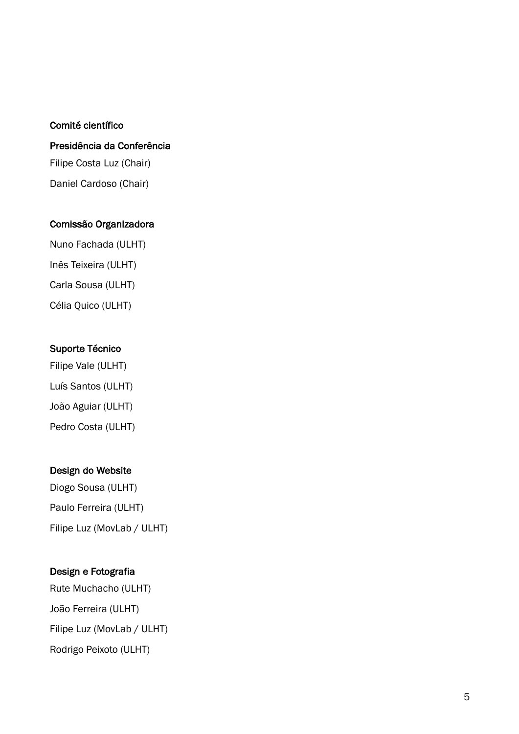#### Comité científico

# Presidência da Conferência Filipe Costa Luz (Chair) Daniel Cardoso (Chair)

# Comissão Organizadora

Nuno Fachada (ULHT) Inês Teixeira (ULHT) Carla Sousa (ULHT) Célia Quico (ULHT)

# Suporte Técnico

Filipe Vale (ULHT) Luís Santos (ULHT) João Aguiar (ULHT) Pedro Costa (ULHT)

# Design do Website

Diogo Sousa (ULHT) Paulo Ferreira (ULHT) Filipe Luz (MovLab / ULHT)

# Design e Fotografia

Rute Muchacho (ULHT) João Ferreira (ULHT) Filipe Luz (MovLab / ULHT) Rodrigo Peixoto (ULHT)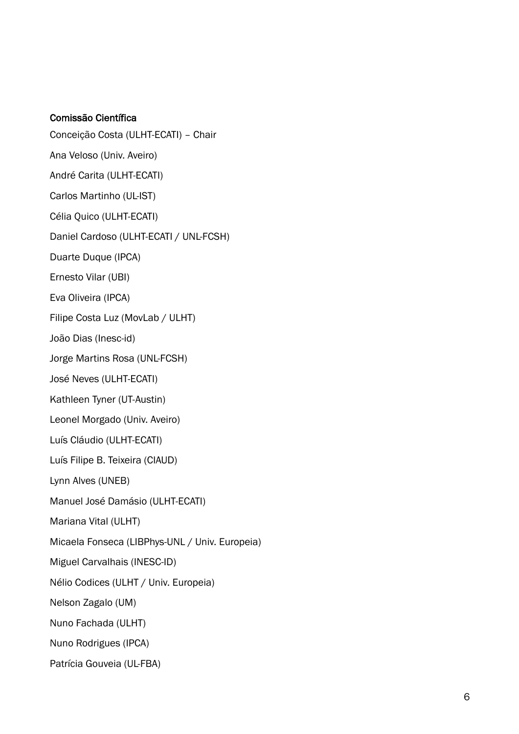#### Comissão Científica

- Conceição Costa (ULHT-ECATI) Chair
- Ana Veloso (Univ. Aveiro)
- André Carita (ULHT-ECATI)
- Carlos Martinho (UL-IST)
- Célia Quico (ULHT-ECATI)
- Daniel Cardoso (ULHT-ECATI / UNL-FCSH)
- Duarte Duque (IPCA)
- Ernesto Vilar (UBI)
- Eva Oliveira (IPCA)
- Filipe Costa Luz (MovLab / ULHT)
- João Dias (Inesc-id)
- Jorge Martins Rosa (UNL-FCSH)
- José Neves (ULHT-ECATI)
- Kathleen Tyner (UT-Austin)
- Leonel Morgado (Univ. Aveiro)
- Luís Cláudio (ULHT-ECATI)
- Luís Filipe B. Teixeira (CIAUD)
- Lynn Alves (UNEB)
- Manuel José Damásio (ULHT-ECATI)
- Mariana Vital (ULHT)
- Micaela Fonseca (LIBPhys-UNL / Univ. Europeia)
- Miguel Carvalhais (INESC-ID)
- Nélio Codices (ULHT / Univ. Europeia)
- Nelson Zagalo (UM)
- Nuno Fachada (ULHT)
- Nuno Rodrigues (IPCA)
- Patrícia Gouveia (UL-FBA)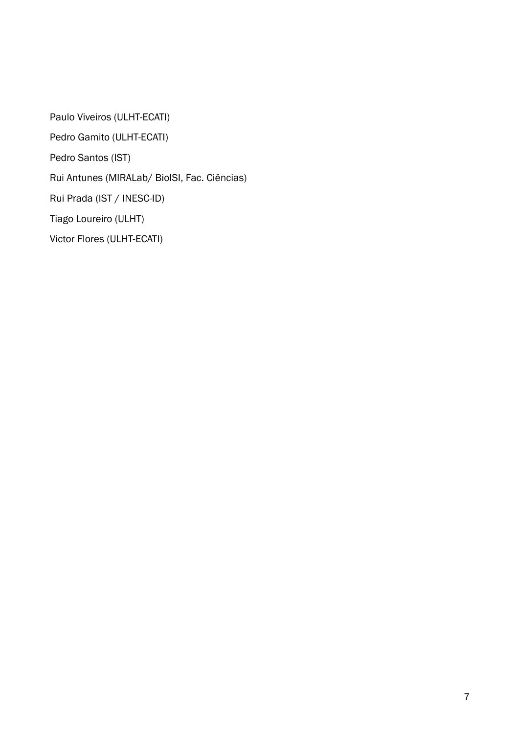Paulo Viveiros (ULHT-ECATI) Pedro Gamito (ULHT-ECATI) Pedro Santos (IST) Rui Antunes (MIRALab/ BioISI, Fac. Ciências) Rui Prada (IST / INESC-ID) Tiago Loureiro (ULHT)

Victor Flores (ULHT-ECATI)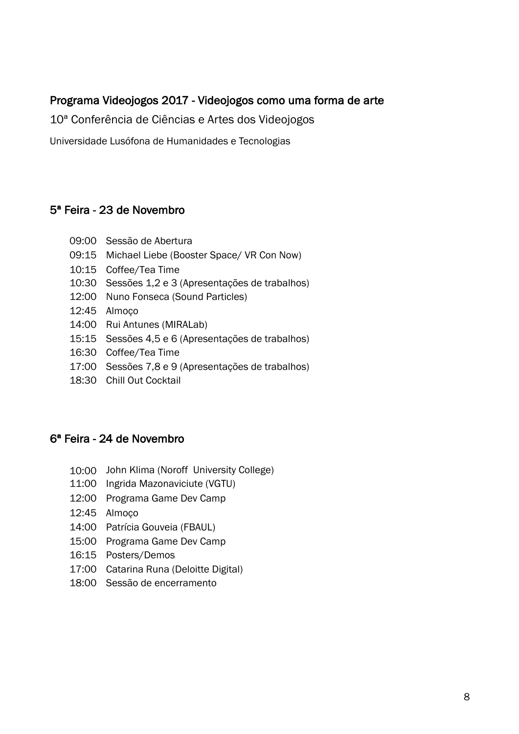# Programa Videojogos 2017 - Videojogos como uma forma de arte

10ª Conferência de Ciências e Artes dos Videojogos

Universidade Lusófona de Humanidades e Tecnologias

# 5ª Feira - 23 de Novembro

- 09:00 Sessão de Abertura
- 09:15 Michael Liebe (Booster Space/ VR Con Now)
- 10:15 Coffee/Tea Time
- 10:30 Sessões 1,2 e 3 (Apresentações de trabalhos)
- 12:00 Nuno Fonseca (Sound Particles)
- 12:45 Almoço
- 14:00 Rui Antunes (MIRALab)
- 15:15 Sessões 4,5 e 6 (Apresentações de trabalhos)
- 16:30 Coffee/Tea Time
- 17:00 Sessões 7,8 e 9 (Apresentações de trabalhos)
- 18:30 Chill Out Cocktail

# 6ª Feira - 24 de Novembro

- 10:00 John Klima (Noroff University College)
- 11:00 Ingrida Mazonaviciute (VGTU)
- 12:00 Programa Game Dev Camp
- 12:45 Almoço
- 14:00 Patrícia Gouveia (FBAUL)
- 15:00 Programa Game Dev Camp
- 16:15 Posters/Demos
- 17:00 Catarina Runa (Deloitte Digital)
- 18:00 Sessão de encerramento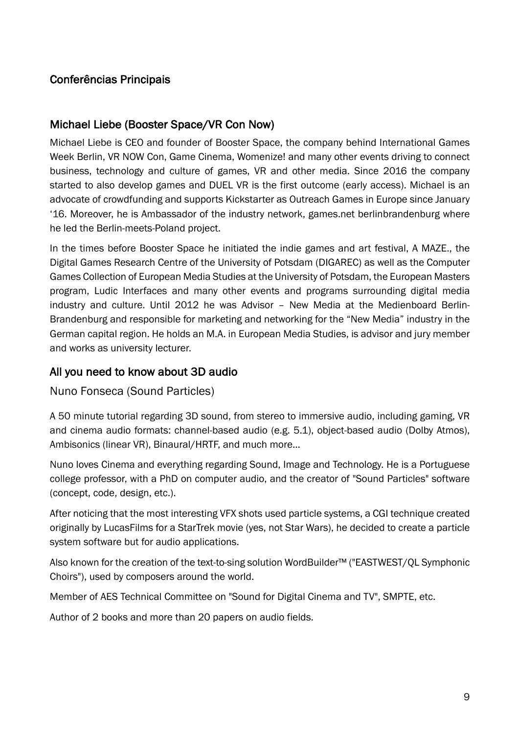# Conferências Principais

# Michael Liebe (Booster Space/VR Con Now)

Michael Liebe is CEO and founder of Booster Space, the company behind International Games Week Berlin, VR NOW Con, Game Cinema, Womenize! and many other events driving to connect business, technology and culture of games, VR and other media. Since 2016 the company started to also develop games and DUEL VR is the first outcome (early access). Michael is an advocate of crowdfunding and supports Kickstarter as Outreach Games in Europe since January '16. Moreover, he is Ambassador of the industry network, games.net berlinbrandenburg where he led the Berlin-meets-Poland project.

In the times before Booster Space he initiated the indie games and art festival, A MAZE., the Digital Games Research Centre of the University of Potsdam (DIGAREC) as well as the Computer Games Collection of European Media Studies at the University of Potsdam, the European Masters program, Ludic Interfaces and many other events and programs surrounding digital media industry and culture. Until 2012 he was Advisor – New Media at the Medienboard Berlin-Brandenburg and responsible for marketing and networking for the "New Media" industry in the German capital region. He holds an M.A. in European Media Studies, is advisor and jury member and works as university lecturer.

# All you need to know about 3D audio

Nuno Fonseca (Sound Particles)

A 50 minute tutorial regarding 3D sound, from stereo to immersive audio, including gaming, VR and cinema audio formats: channel-based audio (e.g. 5.1), object-based audio (Dolby Atmos), Ambisonics (linear VR), Binaural/HRTF, and much more…

Nuno loves Cinema and everything regarding Sound, Image and Technology. He is a Portuguese college professor, with a PhD on computer audio, and the creator of "Sound Particles" software (concept, code, design, etc.).

After noticing that the most interesting VFX shots used particle systems, a CGI technique created originally by LucasFilms for a StarTrek movie (yes, not Star Wars), he decided to create a particle system software but for audio applications.

Also known for the creation of the text-to-sing solution WordBuilder™ ("EASTWEST/QL Symphonic Choirs"), used by composers around the world.

Member of AES Technical Committee on "Sound for Digital Cinema and TV", SMPTE, etc.

Author of 2 books and more than 20 papers on audio fields.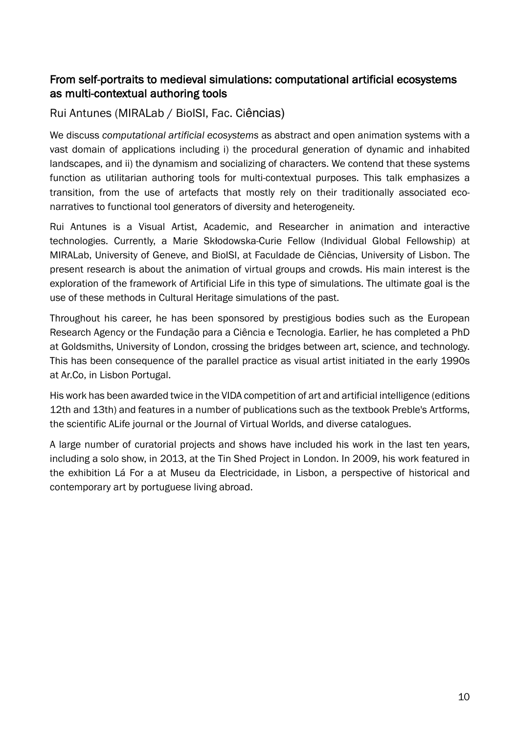# From self-portraits to medieval simulations: computational artificial ecosystems as multi-contextual authoring tools

# Rui Antunes (MIRALab / BioISI, Fac. Ciências)

We discuss *computational artificial ecosystems* as abstract and open animation systems with a vast domain of applications including i) the procedural generation of dynamic and inhabited landscapes, and ii) the dynamism and socializing of characters. We contend that these systems function as utilitarian authoring tools for multi-contextual purposes. This talk emphasizes a transition, from the use of artefacts that mostly rely on their traditionally associated econarratives to functional tool generators of diversity and heterogeneity.

Rui Antunes is a Visual Artist, Academic, and Researcher in animation and interactive technologies. Currently, a Marie Skłodowska-Curie Fellow (Individual Global Fellowship) at MIRALab, University of Geneve, and BioISI, at Faculdade de Ciências, University of Lisbon. The present research is about the animation of virtual groups and crowds. His main interest is the exploration of the framework of Artificial Life in this type of simulations. The ultimate goal is the use of these methods in Cultural Heritage simulations of the past.

Throughout his career, he has been sponsored by prestigious bodies such as the European Research Agency or the Fundação para a Ciência e Tecnologia. Earlier, he has completed a PhD at Goldsmiths, University of London, crossing the bridges between art, science, and technology. This has been consequence of the parallel practice as visual artist initiated in the early 1990s at Ar.Co, in Lisbon Portugal.

His work has been awarded twice in the VIDA competition of art and artificial intelligence (editions 12th and 13th) and features in a number of publications such as the textbook Preble's Artforms, the scientific ALife journal or the Journal of Virtual Worlds, and diverse catalogues.

A large number of curatorial projects and shows have included his work in the last ten years, including a solo show, in 2013, at the Tin Shed Project in London. In 2009, his work featured in the exhibition Lá For a at Museu da Electricidade, in Lisbon, a perspective of historical and contemporary art by portuguese living abroad.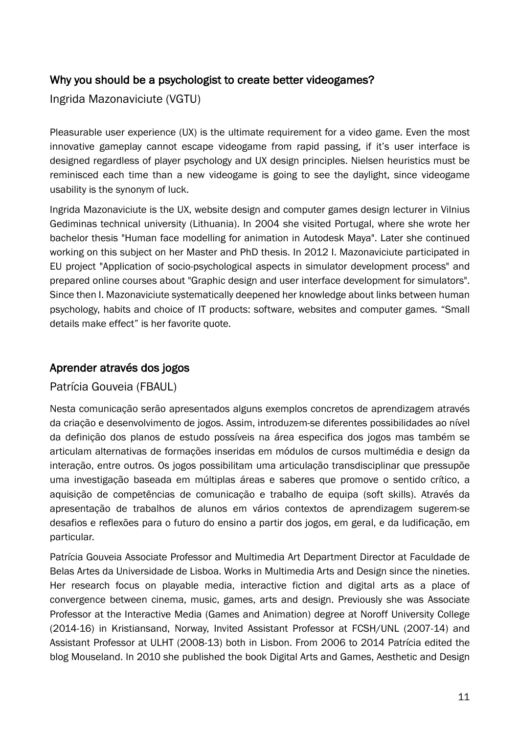# Why you should be a psychologist to create better videogames?

Ingrida Mazonaviciute (VGTU)

Pleasurable user experience (UX) is the ultimate requirement for a video game. Even the most innovative gameplay cannot escape videogame from rapid passing, if it's user interface is designed regardless of player psychology and UX design principles. Nielsen heuristics must be reminisced each time than a new videogame is going to see the daylight, since videogame usability is the synonym of luck.

Ingrida Mazonaviciute is the UX, website design and computer games design lecturer in Vilnius Gediminas technical university (Lithuania). In 2004 she visited Portugal, where she wrote her bachelor thesis "Human face modelling for animation in Autodesk Maya". Later she continued working on this subject on her Master and PhD thesis. In 2012 I. Mazonaviciute participated in EU project "Application of socio-psychological aspects in simulator development process" and prepared online courses about "Graphic design and user interface development for simulators". Since then I. Mazonaviciute systematically deepened her knowledge about links between human psychology, habits and choice of IT products: software, websites and computer games. "Small details make effect" is her favorite quote.

# Aprender através dos jogos

# Patrícia Gouveia (FBAUL)

Nesta comunicação serão apresentados alguns exemplos concretos de aprendizagem através da criação e desenvolvimento de jogos. Assim, introduzem-se diferentes possibilidades ao nível da definição dos planos de estudo possíveis na área especifica dos jogos mas também se articulam alternativas de formações inseridas em módulos de cursos multimédia e design da interação, entre outros. Os jogos possibilitam uma articulação transdisciplinar que pressupõe uma investigação baseada em múltiplas áreas e saberes que promove o sentido crítico, a aquisição de competências de comunicação e trabalho de equipa (soft skills). Através da apresentação de trabalhos de alunos em vários contextos de aprendizagem sugerem-se desafios e reflexões para o futuro do ensino a partir dos jogos, em geral, e da ludificação, em particular.

Patrícia Gouveia Associate Professor and Multimedia Art Department Director at Faculdade de Belas Artes da Universidade de Lisboa. Works in Multimedia Arts and Design since the nineties. Her research focus on playable media, interactive fiction and digital arts as a place of convergence between cinema, music, games, arts and design. Previously she was Associate Professor at the Interactive Media (Games and Animation) degree at Noroff University College (2014-16) in Kristiansand, Norway, Invited Assistant Professor at FCSH/UNL (2007-14) and Assistant Professor at ULHT (2008-13) both in Lisbon. From 2006 to 2014 Patrícia edited the blog Mouseland. In 2010 she published the book Digital Arts and Games, Aesthetic and Design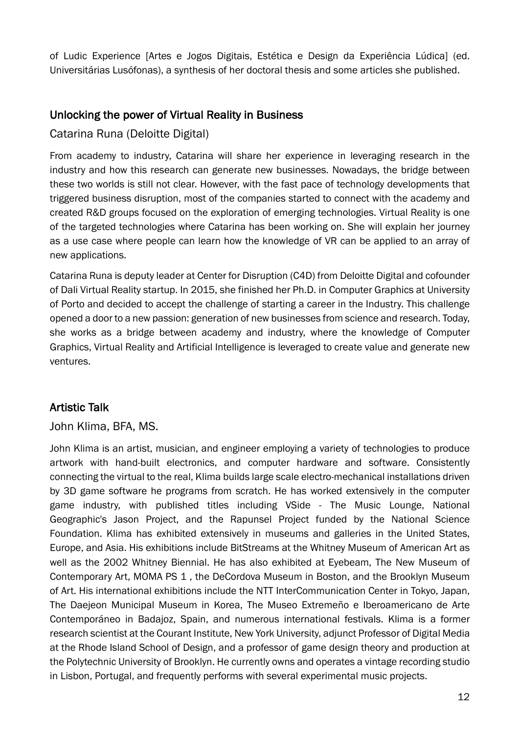of Ludic Experience [Artes e Jogos Digitais, Estética e Design da Experiência Lúdica] (ed. Universitárias Lusófonas), a synthesis of her doctoral thesis and some articles she published.

# Unlocking the power of Virtual Reality in Business

# Catarina Runa (Deloitte Digital)

From academy to industry, Catarina will share her experience in leveraging research in the industry and how this research can generate new businesses. Nowadays, the bridge between these two worlds is still not clear. However, with the fast pace of technology developments that triggered business disruption, most of the companies started to connect with the academy and created R&D groups focused on the exploration of emerging technologies. Virtual Reality is one of the targeted technologies where Catarina has been working on. She will explain her journey as a use case where people can learn how the knowledge of VR can be applied to an array of new applications.

Catarina Runa is deputy leader at Center for Disruption (C4D) from Deloitte Digital and cofounder of Dali Virtual Reality startup. In 2015, she finished her Ph.D. in Computer Graphics at University of Porto and decided to accept the challenge of starting a career in the Industry. This challenge opened a door to a new passion: generation of new businesses from science and research. Today, she works as a bridge between academy and industry, where the knowledge of Computer Graphics, Virtual Reality and Artificial Intelligence is leveraged to create value and generate new ventures.

# Artistic Talk

# John Klima, BFA, MS.

John Klima is an artist, musician, and engineer employing a variety of technologies to produce artwork with hand-built electronics, and computer hardware and software. Consistently connecting the virtual to the real, Klima builds large scale electro-mechanical installations driven by 3D game software he programs from scratch. He has worked extensively in the computer game industry, with published titles including VSide - The Music Lounge, National Geographic's Jason Project, and the Rapunsel Project funded by the National Science Foundation. Klima has exhibited extensively in museums and galleries in the United States, Europe, and Asia. His exhibitions include BitStreams at the Whitney Museum of American Art as well as the 2002 Whitney Biennial. He has also exhibited at Eyebeam, The New Museum of Contemporary Art, MOMA PS 1 , the DeCordova Museum in Boston, and the Brooklyn Museum of Art. His international exhibitions include the NTT InterCommunication Center in Tokyo, Japan, The Daejeon Municipal Museum in Korea, The Museo Extremeño e Iberoamericano de Arte Contemporáneo in Badajoz, Spain, and numerous international festivals. Klima is a former research scientist at the Courant Institute, New York University, adjunct Professor of Digital Media at the Rhode Island School of Design, and a professor of game design theory and production at the Polytechnic University of Brooklyn. He currently owns and operates a vintage recording studio in Lisbon, Portugal, and frequently performs with several experimental music projects.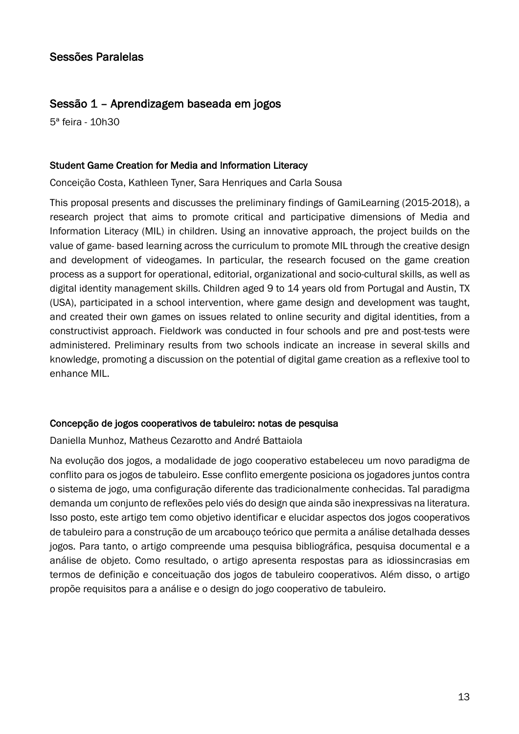# Sessão 1 – Aprendizagem baseada em jogos

5ª feira - 10h30

## Student Game Creation for Media and Information Literacy

Conceição Costa, Kathleen Tyner, Sara Henriques and Carla Sousa

This proposal presents and discusses the preliminary findings of GamiLearning (2015-2018), a research project that aims to promote critical and participative dimensions of Media and Information Literacy (MIL) in children. Using an innovative approach, the project builds on the value of game- based learning across the curriculum to promote MIL through the creative design and development of videogames. In particular, the research focused on the game creation process as a support for operational, editorial, organizational and socio-cultural skills, as well as digital identity management skills. Children aged 9 to 14 years old from Portugal and Austin, TX (USA), participated in a school intervention, where game design and development was taught, and created their own games on issues related to online security and digital identities, from a constructivist approach. Fieldwork was conducted in four schools and pre and post-tests were administered. Preliminary results from two schools indicate an increase in several skills and knowledge, promoting a discussion on the potential of digital game creation as a reflexive tool to enhance MIL.

# Concepção de jogos cooperativos de tabuleiro: notas de pesquisa

Daniella Munhoz, Matheus Cezarotto and André Battaiola

Na evolução dos jogos, a modalidade de jogo cooperativo estabeleceu um novo paradigma de conflito para os jogos de tabuleiro. Esse conflito emergente posiciona os jogadores juntos contra o sistema de jogo, uma configuração diferente das tradicionalmente conhecidas. Tal paradigma demanda um conjunto de reflexões pelo viés do design que ainda são inexpressivas na literatura. Isso posto, este artigo tem como objetivo identificar e elucidar aspectos dos jogos cooperativos de tabuleiro para a construção de um arcabouço teórico que permita a análise detalhada desses jogos. Para tanto, o artigo compreende uma pesquisa bibliográfica, pesquisa documental e a análise de objeto. Como resultado, o artigo apresenta respostas para as idiossincrasias em termos de definição e conceituação dos jogos de tabuleiro cooperativos. Além disso, o artigo propõe requisitos para a análise e o design do jogo cooperativo de tabuleiro.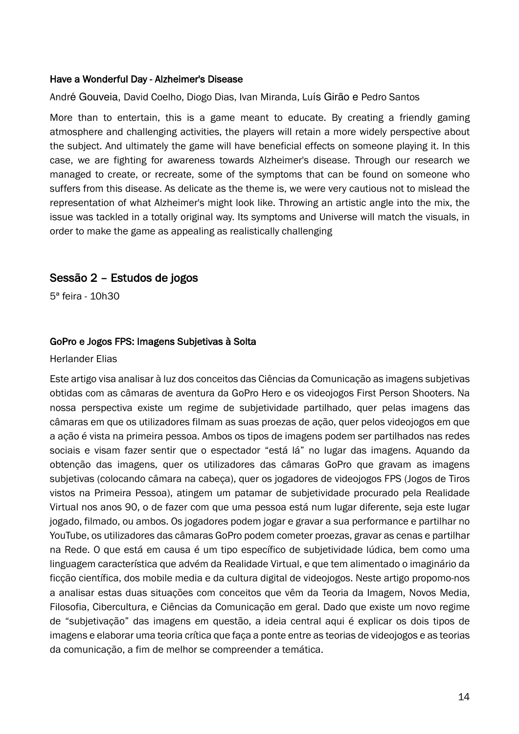#### Have a Wonderful Day - Alzheimer's Disease

André Gouveia, David Coelho, Diogo Dias, Ivan Miranda, Luís Girão e Pedro Santos

More than to entertain, this is a game meant to educate. By creating a friendly gaming atmosphere and challenging activities, the players will retain a more widely perspective about the subject. And ultimately the game will have beneficial effects on someone playing it. In this case, we are fighting for awareness towards Alzheimer's disease. Through our research we managed to create, or recreate, some of the symptoms that can be found on someone who suffers from this disease. As delicate as the theme is, we were very cautious not to mislead the representation of what Alzheimer's might look like. Throwing an artistic angle into the mix, the issue was tackled in a totally original way. Its symptoms and Universe will match the visuals, in order to make the game as appealing as realistically challenging

# Sessão 2 – Estudos de jogos

5ª feira - 10h30

#### GoPro e Jogos FPS: Imagens Subjetivas à Solta

#### Herlander Elias

Este artigo visa analisar à luz dos conceitos das Ciências da Comunicação as imagens subjetivas obtidas com as câmaras de aventura da GoPro Hero e os videojogos First Person Shooters. Na nossa perspectiva existe um regime de subjetividade partilhado, quer pelas imagens das câmaras em que os utilizadores filmam as suas proezas de ação, quer pelos videojogos em que a ação é vista na primeira pessoa. Ambos os tipos de imagens podem ser partilhados nas redes sociais e visam fazer sentir que o espectador "está lá" no lugar das imagens. Aquando da obtenção das imagens, quer os utilizadores das câmaras GoPro que gravam as imagens subjetivas (colocando câmara na cabeça), quer os jogadores de videojogos FPS (Jogos de Tiros vistos na Primeira Pessoa), atingem um patamar de subjetividade procurado pela Realidade Virtual nos anos 90, o de fazer com que uma pessoa está num lugar diferente, seja este lugar jogado, filmado, ou ambos. Os jogadores podem jogar e gravar a sua performance e partilhar no YouTube, os utilizadores das câmaras GoPro podem cometer proezas, gravar as cenas e partilhar na Rede. O que está em causa é um tipo específico de subjetividade lúdica, bem como uma linguagem característica que advém da Realidade Virtual, e que tem alimentado o imaginário da ficção científica, dos mobile media e da cultura digital de videojogos. Neste artigo propomo-nos a analisar estas duas situações com conceitos que vêm da Teoria da Imagem, Novos Media, Filosofia, Cibercultura, e Ciências da Comunicação em geral. Dado que existe um novo regime de "subjetivação" das imagens em questão, a ideia central aqui é explicar os dois tipos de imagens e elaborar uma teoria crítica que faça a ponte entre as teorias de videojogos e as teorias da comunicação, a fim de melhor se compreender a temática.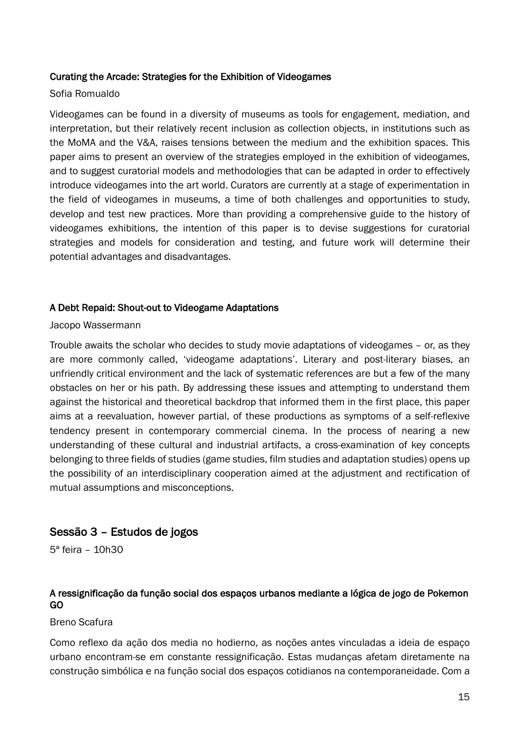#### Curating the Arcade: Strategies for the Exhibition of Videogames

#### Sofia Romualdo

Videogames can be found in a diversity of museums as tools for engagement, mediation, and interpretation, but their relatively recent inclusion as collection objects, in institutions such as the MoMA and the V&A, raises tensions between the medium and the exhibition spaces. This paper aims to present an overview of the strategies employed in the exhibition of videogames, and to suggest curatorial models and methodologies that can be adapted in order to effectively introduce videogames into the art world. Curators are currently at a stage of experimentation in the field of videogames in museums, a time of both challenges and opportunities to study, develop and test new practices. More than providing a comprehensive guide to the history of videogames exhibitions, the intention of this paper is to devise suggestions for curatorial strategies and models for consideration and testing, and future work will determine their potential advantages and disadvantages.

#### A Debt Repaid: Shout-out to Videogame Adaptations

#### Jacopo Wassermann

Trouble awaits the scholar who decides to study movie adaptations of videogames – or, as they are more commonly called, 'videogame adaptations'. Literary and post-literary biases, an unfriendly critical environment and the lack of systematic references are but a few of the many obstacles on her or his path. By addressing these issues and attempting to understand them against the historical and theoretical backdrop that informed them in the first place, this paper aims at a reevaluation, however partial, of these productions as symptoms of a self-reflexive tendency present in contemporary commercial cinema. In the process of nearing a new understanding of these cultural and industrial artifacts, a cross-examination of key concepts belonging to three fields of studies (game studies, film studies and adaptation studies) opens up the possibility of an interdisciplinary cooperation aimed at the adjustment and rectification of mutual assumptions and misconceptions.

# Sessão 3 – Estudos de jogos

5ª feira – 10h30

# A ressignificação da função social dos espaços urbanos mediante a lógica de jogo de Pokemon GO

#### Breno Scafura

Como reflexo da ação dos media no hodierno, as noções antes vinculadas a ideia de espaço urbano encontram-se em constante ressignificação. Estas mudanças afetam diretamente na construção simbólica e na função social dos espaços cotidianos na contemporaneidade. Com a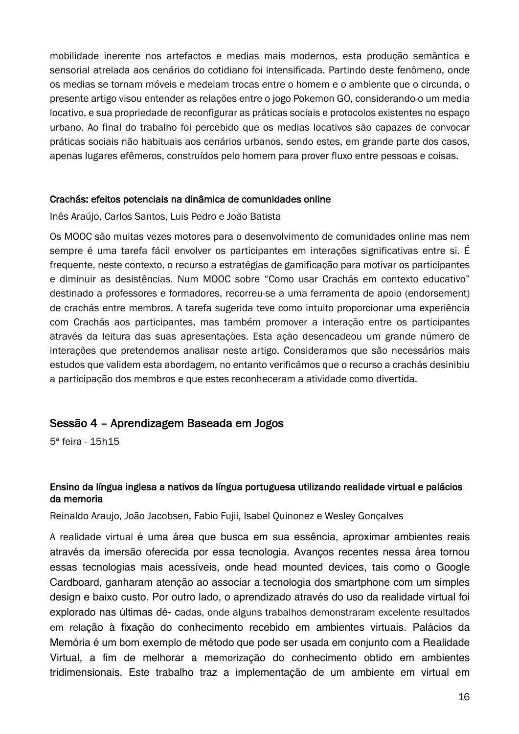mobilidade inerente nos artefactos e medias mais modernos, esta produção semântica e sensorial atrelada aos cenários do cotidiano foi intensificada. Partindo deste fenômeno, onde os medias se tornam móveis e medeiam trocas entre o homem e o ambiente que o circunda, o presente artigo visou entender as relações entre o jogo Pokemon GO, considerando-o um media locativo, e sua propriedade de reconfigurar as práticas sociais e protocolos existentes no espaço urbano. Ao final do trabalho foi percebido que os medias locativos são capazes de convocar práticas sociais não habituais aos cenários urbanos, sendo estes, em grande parte dos casos, apenas lugares efêmeros, construídos pelo homem para prover fluxo entre pessoas e coisas.

#### Crachás: efeitos potenciais na dinâmica de comunidades online

Inês Araújo, Carlos Santos, Luis Pedro e João Batista

Os MOOC são muitas vezes motores para o desenvolvimento de comunidades online mas nem sempre é uma tarefa fácil envolver os participantes em interações significativas entre si. É frequente, neste contexto, o recurso a estratégias de gamificação para motivar os participantes e diminuir as desistências. Num MOOC sobre "Como usar Crachás em contexto educativo" destinado a professores e formadores, recorreu-se a uma ferramenta de apoio (endorsement) de crachás entre membros. A tarefa sugerida teve como intuito proporcionar uma experiência com Crachás aos participantes, mas também promover a interação entre os participantes através da leitura das suas apresentações. Esta ação desencadeou um grande número de interações que pretendemos analisar neste artigo. Consideramos que são necessários mais estudos que validem esta abordagem, no entanto verificámos que o recurso a crachás desinibiu a participação dos membros e que estes reconheceram a atividade como divertida.

# Sessão 4 – Aprendizagem Baseada em Jogos

5ª feira - 15h15

#### Ensino da língua inglesa a nativos da língua portuguesa utilizando realidade virtual e palácios da memoria

Reinaldo Araujo, João Jacobsen, Fabio Fujii, Isabel Quinonez e Wesley Gonçalves

A realidade virtual é uma área que busca em sua essência, aproximar ambientes reais através da imersão oferecida por essa tecnologia. Avanços recentes nessa área tornou essas tecnologias mais acessíveis, onde head mounted devices, tais como o Google Cardboard, ganharam atenção ao associar a tecnologia dos smartphone com um simples design e baixo custo. Por outro lado, o aprendizado através do uso da realidade virtual foi explorado nas últimas dé- cadas, onde alguns trabalhos demonstraram excelente resultados em relação à fixação do conhecimento recebido em ambientes virtuais. Palácios da Memória é um bom exemplo de método que pode ser usada em conjunto com a Realidade Virtual, a fim de melhorar a memorização do conhecimento obtido em ambientes tridimensionais. Este trabalho traz a implementação de um ambiente em virtual em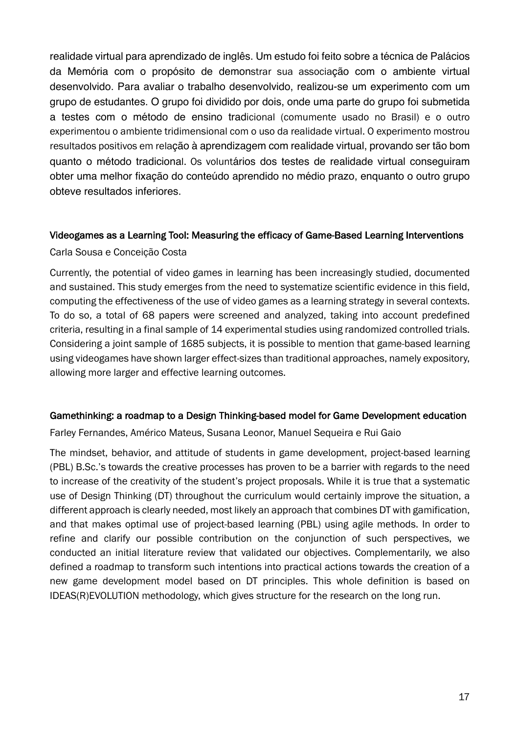realidade virtual para aprendizado de inglês. Um estudo foi feito sobre a técnica de Palácios da Memória com o propósito de demonstrar sua associação com o ambiente virtual desenvolvido. Para avaliar o trabalho desenvolvido, realizou-se um experimento com um grupo de estudantes. O grupo foi dividido por dois, onde uma parte do grupo foi submetida a testes com o método de ensino tradicional (comumente usado no Brasil) e o outro experimentou o ambiente tridimensional com o uso da realidade virtual. O experimento mostrou resultados positivos em relação à aprendizagem com realidade virtual, provando ser tão bom quanto o método tradicional. Os voluntários dos testes de realidade virtual conseguiram obter uma melhor fixação do conteúdo aprendido no médio prazo, enquanto o outro grupo obteve resultados inferiores.

#### Videogames as a Learning Tool: Measuring the efficacy of Game-Based Learning Interventions

Carla Sousa e Conceição Costa

Currently, the potential of video games in learning has been increasingly studied, documented and sustained. This study emerges from the need to systematize scientific evidence in this field, computing the effectiveness of the use of video games as a learning strategy in several contexts. To do so, a total of 68 papers were screened and analyzed, taking into account predefined criteria, resulting in a final sample of 14 experimental studies using randomized controlled trials. Considering a joint sample of 1685 subjects, it is possible to mention that game-based learning using videogames have shown larger effect-sizes than traditional approaches, namely expository, allowing more larger and effective learning outcomes.

#### Gamethinking: a roadmap to a Design Thinking-based model for Game Development education

Farley Fernandes, Américo Mateus, Susana Leonor, Manuel Sequeira e Rui Gaio

The mindset, behavior, and attitude of students in game development, project-based learning (PBL) B.Sc.'s towards the creative processes has proven to be a barrier with regards to the need to increase of the creativity of the student's project proposals. While it is true that a systematic use of Design Thinking (DT) throughout the curriculum would certainly improve the situation, a different approach is clearly needed, most likely an approach that combines DT with gamification, and that makes optimal use of project-based learning (PBL) using agile methods. In order to refine and clarify our possible contribution on the conjunction of such perspectives, we conducted an initial literature review that validated our objectives. Complementarily, we also defined a roadmap to transform such intentions into practical actions towards the creation of a new game development model based on DT principles. This whole definition is based on IDEAS(R)EVOLUTION methodology, which gives structure for the research on the long run.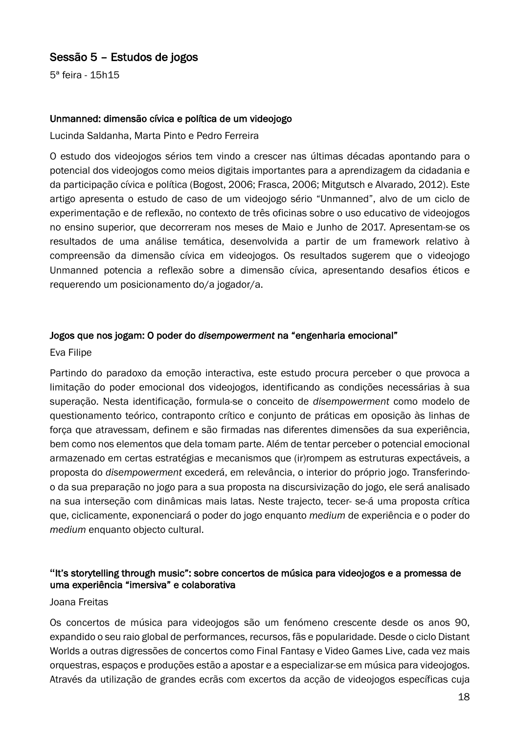# Sessão 5 – Estudos de jogos

5ª feira - 15h15

#### Unmanned: dimensão cívica e política de um videojogo

Lucinda Saldanha, Marta Pinto e Pedro Ferreira

O estudo dos videojogos sérios tem vindo a crescer nas últimas décadas apontando para o potencial dos videojogos como meios digitais importantes para a aprendizagem da cidadania e da participação cívica e política (Bogost, 2006; Frasca, 2006; Mitgutsch e Alvarado, 2012). Este artigo apresenta o estudo de caso de um videojogo sério "Unmanned", alvo de um ciclo de experimentação e de reflexão, no contexto de três oficinas sobre o uso educativo de videojogos no ensino superior, que decorreram nos meses de Maio e Junho de 2017. Apresentam-se os resultados de uma análise temática, desenvolvida a partir de um framework relativo à compreensão da dimensão cívica em videojogos. Os resultados sugerem que o videojogo Unmanned potencia a reflexão sobre a dimensão cívica, apresentando desafios éticos e requerendo um posicionamento do/a jogador/a.

#### Jogos que nos jogam: O poder do *disempowerment* na "engenharia emocional"

#### Eva Filipe

Partindo do paradoxo da emoção interactiva, este estudo procura perceber o que provoca a limitação do poder emocional dos videojogos, identificando as condições necessárias à sua superação. Nesta identificação, formula-se o conceito de *disempowerment* como modelo de questionamento teórico, contraponto crítico e conjunto de práticas em oposição às linhas de força que atravessam, definem e são firmadas nas diferentes dimensões da sua experiência, bem como nos elementos que dela tomam parte. Além de tentar perceber o potencial emocional armazenado em certas estratégias e mecanismos que (ir)rompem as estruturas expectáveis, a proposta do *disempowerment* excederá, em relevância, o interior do próprio jogo. Transferindoo da sua preparação no jogo para a sua proposta na discursivização do jogo, ele será analisado na sua interseção com dinâmicas mais latas. Neste trajecto, tecer- se-á uma proposta crítica que, ciclicamente, exponenciará o poder do jogo enquanto *medium* de experiência e o poder do *medium* enquanto objecto cultural.

#### **"**It's storytelling through music": sobre concertos de música para videojogos e a promessa de uma experiência "imersiva" e colaborativa

#### Joana Freitas

Os concertos de música para videojogos são um fenómeno crescente desde os anos 90, expandido o seu raio global de performances, recursos, fãs e popularidade. Desde o ciclo Distant Worlds a outras digressões de concertos como Final Fantasy e Video Games Live, cada vez mais orquestras, espaços e produções estão a apostar e a especializar-se em música para videojogos. Através da utilização de grandes ecrãs com excertos da acção de videojogos específicas cuja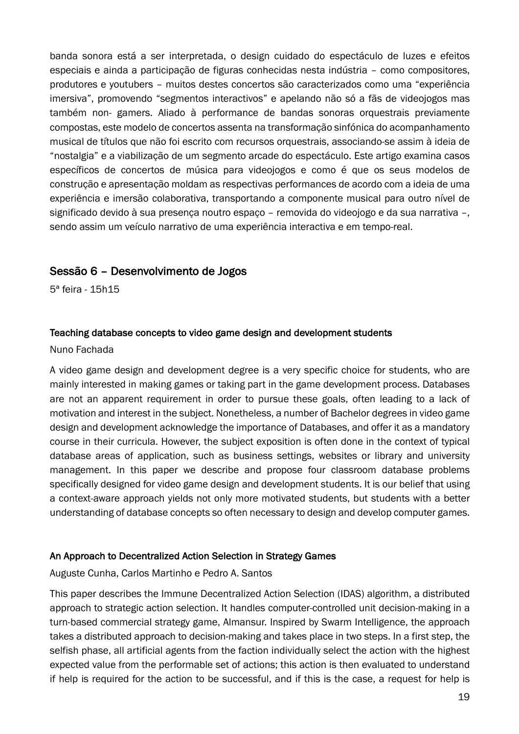banda sonora está a ser interpretada, o design cuidado do espectáculo de luzes e efeitos especiais e ainda a participação de figuras conhecidas nesta indústria – como compositores, produtores e youtubers – muitos destes concertos são caracterizados como uma "experiência imersiva", promovendo "segmentos interactivos" e apelando não só a fãs de videojogos mas também non- gamers. Aliado à performance de bandas sonoras orquestrais previamente compostas, este modelo de concertos assenta na transformação sinfónica do acompanhamento musical de títulos que não foi escrito com recursos orquestrais, associando-se assim à ideia de "nostalgia" e a viabilização de um segmento arcade do espectáculo. Este artigo examina casos específicos de concertos de música para videojogos e como é que os seus modelos de construção e apresentação moldam as respectivas performances de acordo com a ideia de uma experiência e imersão colaborativa, transportando a componente musical para outro nível de significado devido à sua presença noutro espaço – removida do videojogo e da sua narrativa –, sendo assim um veículo narrativo de uma experiência interactiva e em tempo-real.

# Sessão 6 – Desenvolvimento de Jogos

5ª feira - 15h15

# Teaching database concepts to video game design and development students

#### Nuno Fachada

A video game design and development degree is a very specific choice for students, who are mainly interested in making games or taking part in the game development process. Databases are not an apparent requirement in order to pursue these goals, often leading to a lack of motivation and interest in the subject. Nonetheless, a number of Bachelor degrees in video game design and development acknowledge the importance of Databases, and offer it as a mandatory course in their curricula. However, the subject exposition is often done in the context of typical database areas of application, such as business settings, websites or library and university management. In this paper we describe and propose four classroom database problems specifically designed for video game design and development students. It is our belief that using a context-aware approach yields not only more motivated students, but students with a better understanding of database concepts so often necessary to design and develop computer games.

#### An Approach to Decentralized Action Selection in Strategy Games

Auguste Cunha, Carlos Martinho e Pedro A. Santos

This paper describes the Immune Decentralized Action Selection (IDAS) algorithm, a distributed approach to strategic action selection. It handles computer-controlled unit decision-making in a turn-based commercial strategy game, Almansur. Inspired by Swarm Intelligence, the approach takes a distributed approach to decision-making and takes place in two steps. In a first step, the selfish phase, all artificial agents from the faction individually select the action with the highest expected value from the performable set of actions; this action is then evaluated to understand if help is required for the action to be successful, and if this is the case, a request for help is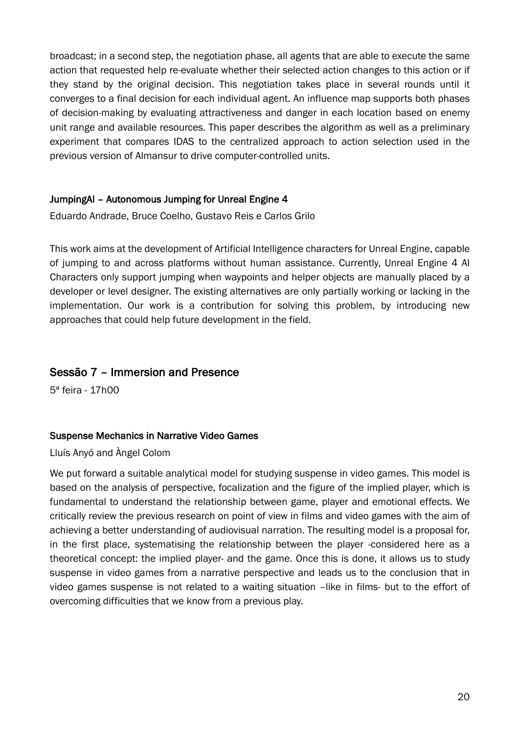broadcast; in a second step, the negotiation phase, all agents that are able to execute the same action that requested help re-evaluate whether their selected action changes to this action or if they stand by the original decision. This negotiation takes place in several rounds until it converges to a final decision for each individual agent. An influence map supports both phases of decision-making by evaluating attractiveness and danger in each location based on enemy unit range and available resources. This paper describes the algorithm as well as a preliminary experiment that compares IDAS to the centralized approach to action selection used in the previous version of Almansur to drive computer-controlled units.

# JumpingAI – Autonomous Jumping for Unreal Engine 4

Eduardo Andrade, Bruce Coelho, Gustavo Reis e Carlos Grilo

This work aims at the development of Artificial Intelligence characters for Unreal Engine, capable of jumping to and across platforms without human assistance. Currently, Unreal Engine 4 AI Characters only support jumping when waypoints and helper objects are manually placed by a developer or level designer. The existing alternatives are only partially working or lacking in the implementation. Our work is a contribution for solving this problem, by introducing new approaches that could help future development in the field.

# Sessão 7 – Immersion and Presence

5ª feira - 17h00

#### Suspense Mechanics in Narrative Video Games

Lluís Anyó and Àngel Colom

We put forward a suitable analytical model for studying suspense in video games. This model is based on the analysis of perspective, focalization and the figure of the implied player, which is fundamental to understand the relationship between game, player and emotional effects. We critically review the previous research on point of view in films and video games with the aim of achieving a better understanding of audiovisual narration. The resulting model is a proposal for, in the first place, systematising the relationship between the player -considered here as a theoretical concept: the implied player- and the game. Once this is done, it allows us to study suspense in video games from a narrative perspective and leads us to the conclusion that in video games suspense is not related to a waiting situation –like in films- but to the effort of overcoming difficulties that we know from a previous play.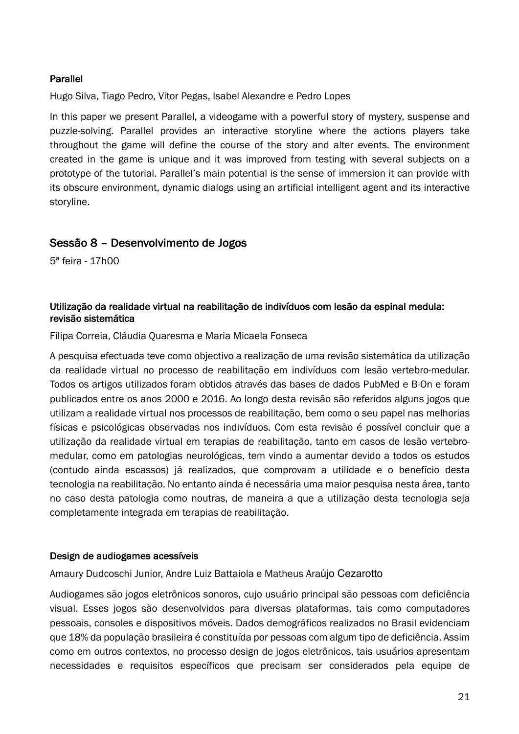## Parallel

Hugo Silva, Tiago Pedro, Vitor Pegas, Isabel Alexandre e Pedro Lopes

In this paper we present Parallel, a videogame with a powerful story of mystery, suspense and puzzle-solving. Parallel provides an interactive storyline where the actions players take throughout the game will define the course of the story and alter events. The environment created in the game is unique and it was improved from testing with several subjects on a prototype of the tutorial. Parallel's main potential is the sense of immersion it can provide with its obscure environment, dynamic dialogs using an artificial intelligent agent and its interactive storyline.

# Sessão 8 – Desenvolvimento de Jogos

5ª feira - 17h00

## Utilização da realidade virtual na reabilitação de indivíduos com lesão da espinal medula: revisão sistemática

Filipa Correia, Cláudia Quaresma e Maria Micaela Fonseca

A pesquisa efectuada teve como objectivo a realização de uma revisão sistemática da utilização da realidade virtual no processo de reabilitação em indivíduos com lesão vertebro-medular. Todos os artigos utilizados foram obtidos através das bases de dados PubMed e B-On e foram publicados entre os anos 2000 e 2016. Ao longo desta revisão são referidos alguns jogos que utilizam a realidade virtual nos processos de reabilitação, bem como o seu papel nas melhorias físicas e psicológicas observadas nos indivíduos. Com esta revisão é possível concluir que a utilização da realidade virtual em terapias de reabilitação, tanto em casos de lesão vertebromedular, como em patologias neurológicas, tem vindo a aumentar devido a todos os estudos (contudo ainda escassos) já realizados, que comprovam a utilidade e o benefício desta tecnologia na reabilitação. No entanto ainda é necessária uma maior pesquisa nesta área, tanto no caso desta patologia como noutras, de maneira a que a utilização desta tecnologia seja completamente integrada em terapias de reabilitação.

#### Design de audiogames acessíveis

Amaury Dudcoschi Junior, Andre Luiz Battaiola e Matheus Araújo Cezarotto

Audiogames são jogos eletrônicos sonoros, cujo usuário principal são pessoas com deficiência visual. Esses jogos são desenvolvidos para diversas plataformas, tais como computadores pessoais, consoles e dispositivos móveis. Dados demográficos realizados no Brasil evidenciam que 18% da população brasileira é constituída por pessoas com algum tipo de deficiência. Assim como em outros contextos, no processo design de jogos eletrônicos, tais usuários apresentam necessidades e requisitos específicos que precisam ser considerados pela equipe de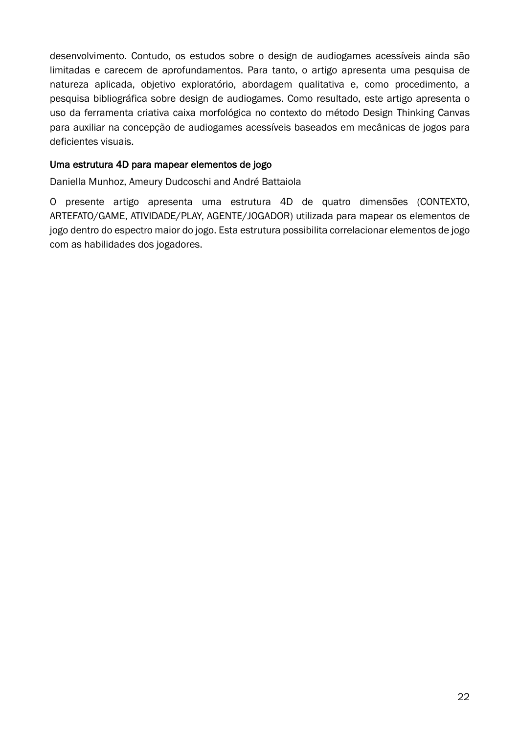desenvolvimento. Contudo, os estudos sobre o design de audiogames acessíveis ainda são limitadas e carecem de aprofundamentos. Para tanto, o artigo apresenta uma pesquisa de natureza aplicada, objetivo exploratório, abordagem qualitativa e, como procedimento, a pesquisa bibliográfica sobre design de audiogames. Como resultado, este artigo apresenta o uso da ferramenta criativa caixa morfológica no contexto do método Design Thinking Canvas para auxiliar na concepção de audiogames acessíveis baseados em mecânicas de jogos para deficientes visuais.

## Uma estrutura 4D para mapear elementos de jogo

Daniella Munhoz, Ameury Dudcoschi and André Battaiola

O presente artigo apresenta uma estrutura 4D de quatro dimensões (CONTEXTO, ARTEFATO/GAME, ATIVIDADE/PLAY, AGENTE/JOGADOR) utilizada para mapear os elementos de jogo dentro do espectro maior do jogo. Esta estrutura possibilita correlacionar elementos de jogo com as habilidades dos jogadores.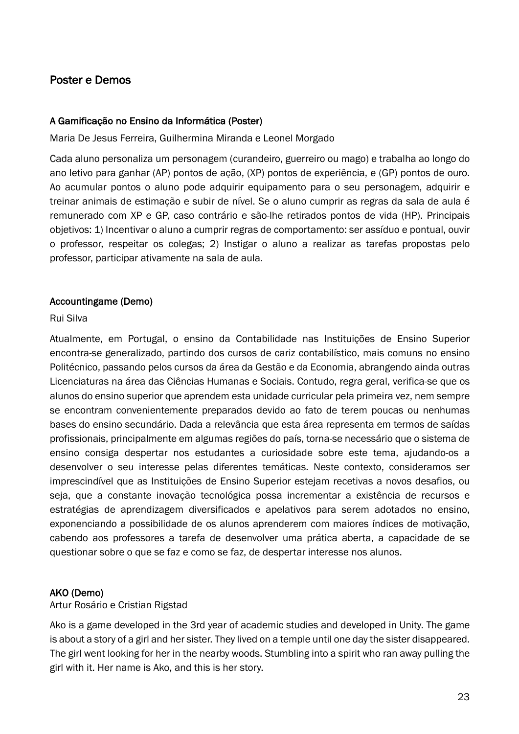# Poster e Demos

#### A Gamificação no Ensino da Informática (Poster)

Maria De Jesus Ferreira, Guilhermina Miranda e Leonel Morgado

Cada aluno personaliza um personagem (curandeiro, guerreiro ou mago) e trabalha ao longo do ano letivo para ganhar (AP) pontos de ação, (XP) pontos de experiência, e (GP) pontos de ouro. Ao acumular pontos o aluno pode adquirir equipamento para o seu personagem, adquirir e treinar animais de estimação e subir de nível. Se o aluno cumprir as regras da sala de aula é remunerado com XP e GP, caso contrário e são-lhe retirados pontos de vida (HP). Principais objetivos: 1) Incentivar o aluno a cumprir regras de comportamento: ser assíduo e pontual, ouvir o professor, respeitar os colegas; 2) Instigar o aluno a realizar as tarefas propostas pelo professor, participar ativamente na sala de aula.

#### Accountingame (Demo)

#### Rui Silva

Atualmente, em Portugal, o ensino da Contabilidade nas Instituições de Ensino Superior encontra-se generalizado, partindo dos cursos de cariz contabilístico, mais comuns no ensino Politécnico, passando pelos cursos da área da Gestão e da Economia, abrangendo ainda outras Licenciaturas na área das Ciências Humanas e Sociais. Contudo, regra geral, verifica-se que os alunos do ensino superior que aprendem esta unidade curricular pela primeira vez, nem sempre se encontram convenientemente preparados devido ao fato de terem poucas ou nenhumas bases do ensino secundário. Dada a relevância que esta área representa em termos de saídas profissionais, principalmente em algumas regiões do país, torna-se necessário que o sistema de ensino consiga despertar nos estudantes a curiosidade sobre este tema, ajudando-os a desenvolver o seu interesse pelas diferentes temáticas. Neste contexto, consideramos ser imprescindível que as Instituições de Ensino Superior estejam recetivas a novos desafios, ou seja, que a constante inovação tecnológica possa incrementar a existência de recursos e estratégias de aprendizagem diversificados e apelativos para serem adotados no ensino, exponenciando a possibilidade de os alunos aprenderem com maiores índices de motivação, cabendo aos professores a tarefa de desenvolver uma prática aberta, a capacidade de se questionar sobre o que se faz e como se faz, de despertar interesse nos alunos.

#### AKO (Demo)

Artur Rosário e Cristian Rigstad

Ako is a game developed in the 3rd year of academic studies and developed in Unity. The game is about a story of a girl and her sister. They lived on a temple until one day the sister disappeared. The girl went looking for her in the nearby woods. Stumbling into a spirit who ran away pulling the girl with it. Her name is Ako, and this is her story.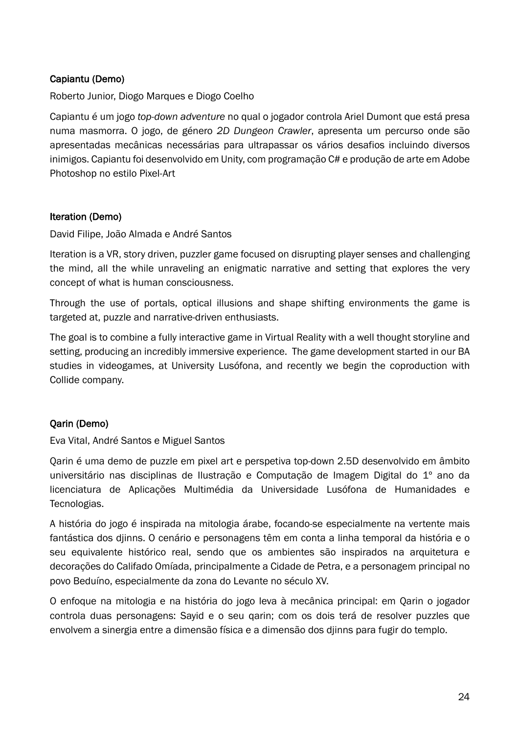# Capiantu (Demo)

Roberto Junior, Diogo Marques e Diogo Coelho

Capiantu é um jogo *top-down adventure* no qual o jogador controla Ariel Dumont que está presa numa masmorra. O jogo, de género *2D Dungeon Crawler*, apresenta um percurso onde são apresentadas mecânicas necessárias para ultrapassar os vários desafios incluindo diversos inimigos. Capiantu foi desenvolvido em Unity, com programação C# e produção de arte em Adobe Photoshop no estilo Pixel-Art

#### Iteration (Demo)

David Filipe, João Almada e André Santos

Iteration is a VR, story driven, puzzler game focused on disrupting player senses and challenging the mind, all the while unraveling an enigmatic narrative and setting that explores the very concept of what is human consciousness.

Through the use of portals, optical illusions and shape shifting environments the game is targeted at, puzzle and narrative-driven enthusiasts.

The goal is to combine a fully interactive game in Virtual Reality with a well thought storyline and setting, producing an incredibly immersive experience. The game development started in our BA studies in videogames, at University Lusófona, and recently we begin the coproduction with Collide company.

#### Qarin (Demo)

Eva Vital, André Santos e Miguel Santos

Qarin é uma demo de puzzle em pixel art e perspetiva top-down 2.5D desenvolvido em âmbito universitário nas disciplinas de Ilustração e Computação de Imagem Digital do 1º ano da licenciatura de Aplicações Multimédia da Universidade Lusófona de Humanidades e Tecnologias.

A história do jogo é inspirada na mitologia árabe, focando-se especialmente na vertente mais fantástica dos djinns. O cenário e personagens têm em conta a linha temporal da história e o seu equivalente histórico real, sendo que os ambientes são inspirados na arquitetura e decorações do Califado Omíada, principalmente a Cidade de Petra, e a personagem principal no povo Beduíno, especialmente da zona do Levante no século XV.

O enfoque na mitologia e na história do jogo leva à mecânica principal: em Qarin o jogador controla duas personagens: Sayid e o seu qarin; com os dois terá de resolver puzzles que envolvem a sinergia entre a dimensão física e a dimensão dos djinns para fugir do templo.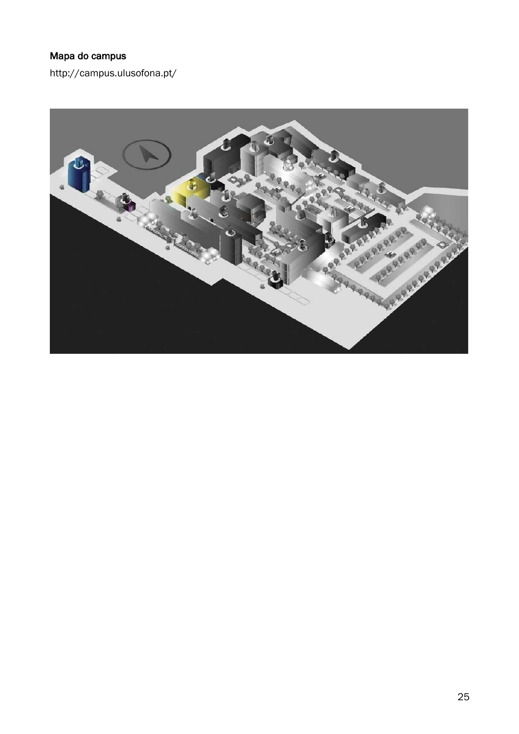# Mapa do campus

http://campus.ulusofona.pt/

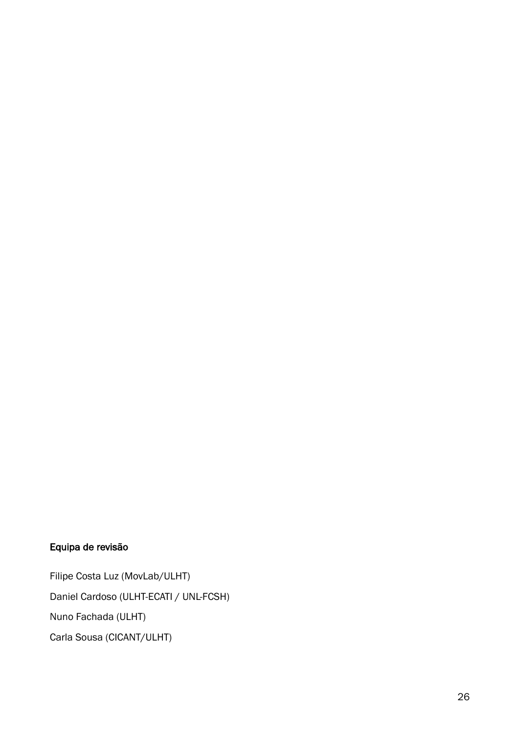# Equipa de revisão

Filipe Costa Luz (MovLab/ULHT) Daniel Cardoso (ULHT-ECATI / UNL-FCSH) Nuno Fachada (ULHT) Carla Sousa (CICANT/ULHT)